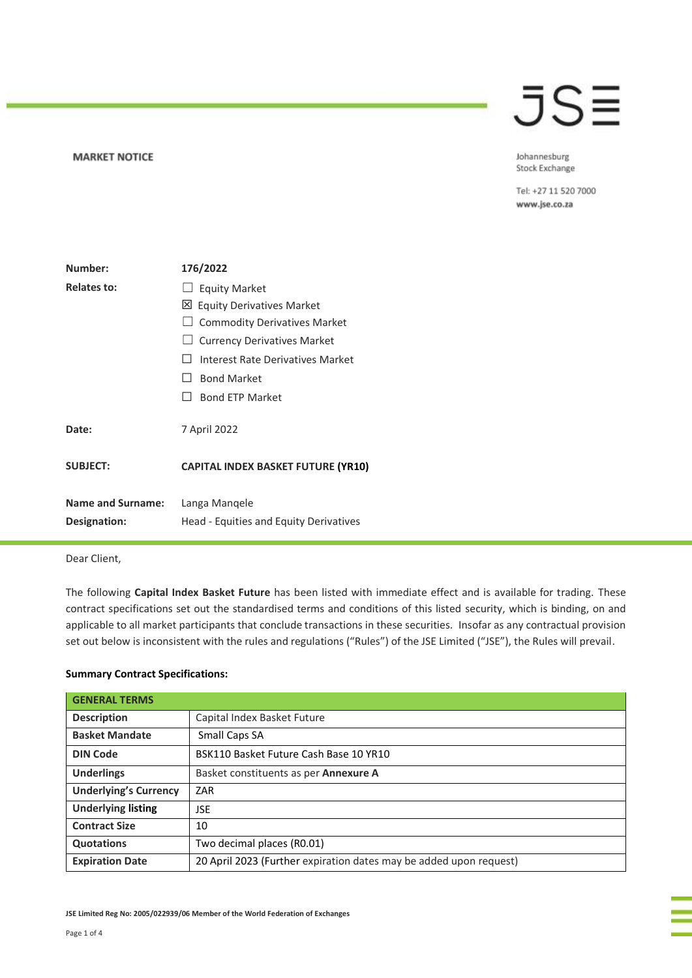#### **MARKET NOTICE**

## JSE

Johannesburg Stock Exchange

Tel: +27 11 520 7000 www.jse.co.za

| Number:                                         | 176/2022                                                                                                                                                                                                                                       |  |  |  |
|-------------------------------------------------|------------------------------------------------------------------------------------------------------------------------------------------------------------------------------------------------------------------------------------------------|--|--|--|
| <b>Relates to:</b>                              | <b>Equity Market</b><br>⊠<br><b>Equity Derivatives Market</b><br><b>Commodity Derivatives Market</b><br><b>Currency Derivatives Market</b><br>Interest Rate Derivatives Market<br><b>Bond Market</b><br>$\mathbf{1}$<br><b>Bond ETP Market</b> |  |  |  |
| Date:                                           | 7 April 2022                                                                                                                                                                                                                                   |  |  |  |
| <b>SUBJECT:</b>                                 | <b>CAPITAL INDEX BASKET FUTURE (YR10)</b>                                                                                                                                                                                                      |  |  |  |
| <b>Name and Surname:</b><br><b>Designation:</b> | Langa Mangele<br>Head - Equities and Equity Derivatives                                                                                                                                                                                        |  |  |  |

### Dear Client,

The following **Capital Index Basket Future** has been listed with immediate effect and is available for trading. These contract specifications set out the standardised terms and conditions of this listed security, which is binding, on and applicable to all market participants that conclude transactions in these securities. Insofar as any contractual provision set out below is inconsistent with the rules and regulations ("Rules") of the JSE Limited ("JSE"), the Rules will prevail.

### **Summary Contract Specifications:**

| <b>GENERAL TERMS</b>         |                                                                    |  |  |
|------------------------------|--------------------------------------------------------------------|--|--|
| <b>Description</b>           | Capital Index Basket Future                                        |  |  |
| <b>Basket Mandate</b>        | Small Caps SA                                                      |  |  |
| <b>DIN Code</b>              | BSK110 Basket Future Cash Base 10 YR10                             |  |  |
| <b>Underlings</b>            | Basket constituents as per <b>Annexure A</b>                       |  |  |
| <b>Underlying's Currency</b> | ZAR                                                                |  |  |
| <b>Underlying listing</b>    | JSE                                                                |  |  |
| <b>Contract Size</b>         | 10                                                                 |  |  |
| <b>Quotations</b>            | Two decimal places (R0.01)                                         |  |  |
| <b>Expiration Date</b>       | 20 April 2023 (Further expiration dates may be added upon request) |  |  |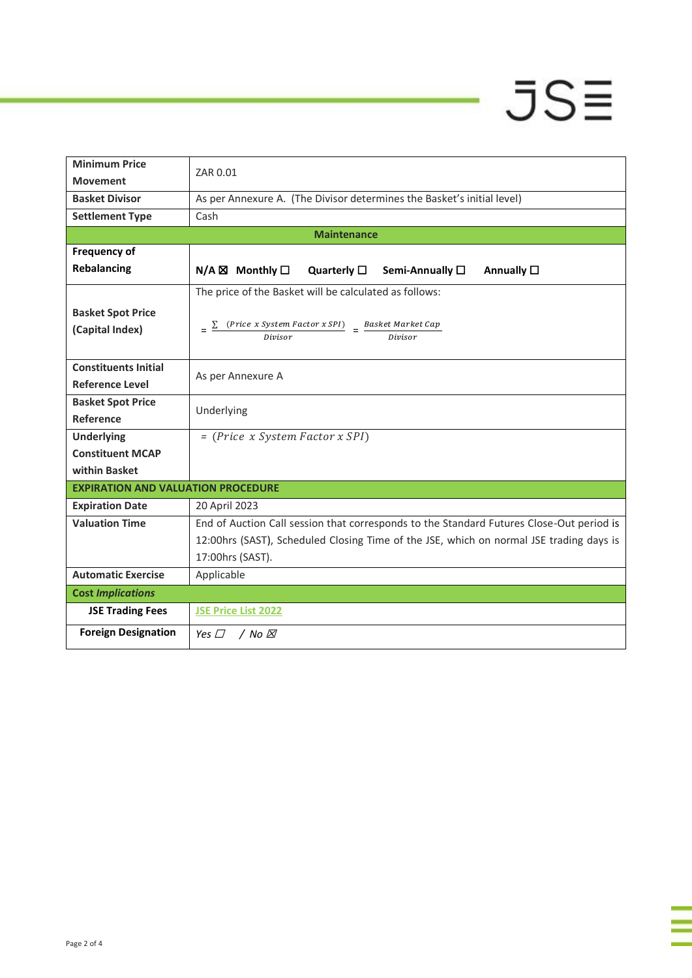# $JSE$

ī

| <b>Minimum Price</b>                      | ZAR 0.01                                                                                              |  |  |  |  |  |
|-------------------------------------------|-------------------------------------------------------------------------------------------------------|--|--|--|--|--|
| <b>Movement</b>                           |                                                                                                       |  |  |  |  |  |
| <b>Basket Divisor</b>                     | As per Annexure A. (The Divisor determines the Basket's initial level)                                |  |  |  |  |  |
| <b>Settlement Type</b>                    | Cash                                                                                                  |  |  |  |  |  |
| <b>Maintenance</b>                        |                                                                                                       |  |  |  |  |  |
| <b>Frequency of</b>                       |                                                                                                       |  |  |  |  |  |
| Rebalancing                               | $N/A \boxtimes$ Monthly $\square$<br>Quarterly $\square$<br>Semi-Annually □<br>Annually $\square$     |  |  |  |  |  |
|                                           | The price of the Basket will be calculated as follows:                                                |  |  |  |  |  |
| <b>Basket Spot Price</b>                  |                                                                                                       |  |  |  |  |  |
| (Capital Index)                           | $\frac{(Price \ x System Factor \ x SPI)}{Division} = \frac{Basic \ Market \ Market \ Cap}{Division}$ |  |  |  |  |  |
|                                           |                                                                                                       |  |  |  |  |  |
| <b>Constituents Initial</b>               |                                                                                                       |  |  |  |  |  |
| <b>Reference Level</b>                    | As per Annexure A                                                                                     |  |  |  |  |  |
| <b>Basket Spot Price</b>                  | Underlying                                                                                            |  |  |  |  |  |
| Reference                                 |                                                                                                       |  |  |  |  |  |
| <b>Underlying</b>                         | $= (Price x System Factor x SPI)$                                                                     |  |  |  |  |  |
| <b>Constituent MCAP</b>                   |                                                                                                       |  |  |  |  |  |
| within Basket                             |                                                                                                       |  |  |  |  |  |
| <b>EXPIRATION AND VALUATION PROCEDURE</b> |                                                                                                       |  |  |  |  |  |
| <b>Expiration Date</b>                    | 20 April 2023                                                                                         |  |  |  |  |  |
| <b>Valuation Time</b>                     | End of Auction Call session that corresponds to the Standard Futures Close-Out period is              |  |  |  |  |  |
|                                           | 12:00hrs (SAST), Scheduled Closing Time of the JSE, which on normal JSE trading days is               |  |  |  |  |  |
|                                           | 17:00hrs (SAST).                                                                                      |  |  |  |  |  |
| <b>Automatic Exercise</b>                 | Applicable                                                                                            |  |  |  |  |  |
| <b>Cost Implications</b>                  |                                                                                                       |  |  |  |  |  |
| <b>JSE Trading Fees</b>                   | <b>JSE Price List 2022</b>                                                                            |  |  |  |  |  |
| <b>Foreign Designation</b>                | Yes $\Box$<br>/ No ⊠                                                                                  |  |  |  |  |  |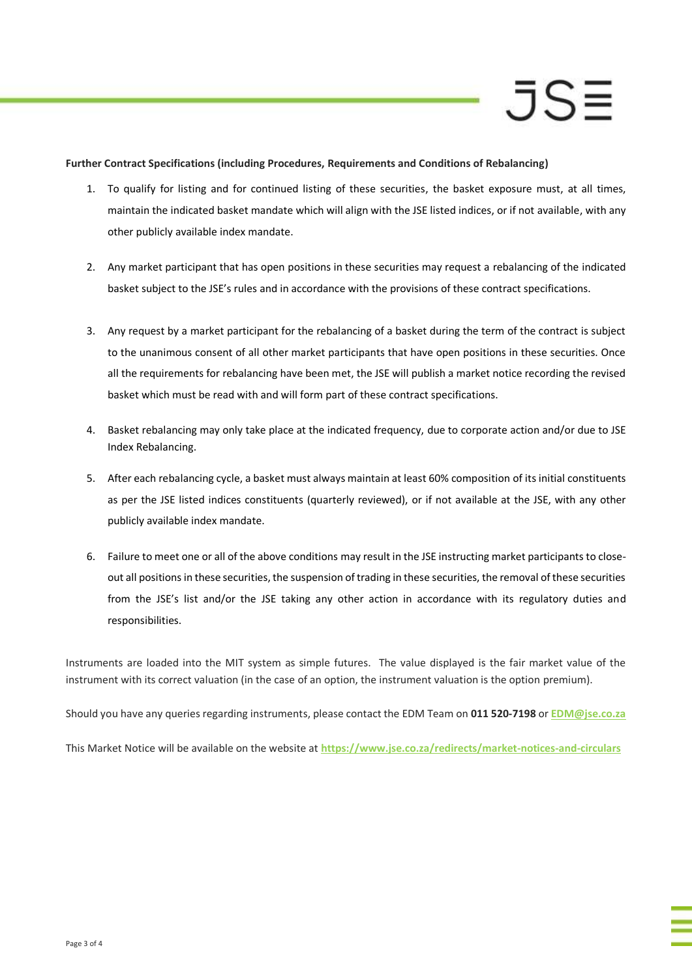## JS≡

### **Further Contract Specifications (including Procedures, Requirements and Conditions of Rebalancing)**

- 1. To qualify for listing and for continued listing of these securities, the basket exposure must, at all times, maintain the indicated basket mandate which will align with the JSE listed indices, or if not available, with any other publicly available index mandate.
- 2. Any market participant that has open positions in these securities may request a rebalancing of the indicated basket subject to the JSE's rules and in accordance with the provisions of these contract specifications.
- 3. Any request by a market participant for the rebalancing of a basket during the term of the contract is subject to the unanimous consent of all other market participants that have open positions in these securities. Once all the requirements for rebalancing have been met, the JSE will publish a market notice recording the revised basket which must be read with and will form part of these contract specifications.
- 4. Basket rebalancing may only take place at the indicated frequency, due to corporate action and/or due to JSE Index Rebalancing.
- 5. After each rebalancing cycle, a basket must always maintain at least 60% composition of its initial constituents as per the JSE listed indices constituents (quarterly reviewed), or if not available at the JSE, with any other publicly available index mandate.
- 6. Failure to meet one or all of the above conditions may result in the JSE instructing market participants to closeout all positions in these securities, the suspension of trading in these securities, the removal of these securities from the JSE's list and/or the JSE taking any other action in accordance with its regulatory duties and responsibilities.

Instruments are loaded into the MIT system as simple futures. The value displayed is the fair market value of the instrument with its correct valuation (in the case of an option, the instrument valuation is the option premium).

Should you have any queries regarding instruments, please contact the EDM Team on **011 520-7198** or **[EDM@jse.co.za](mailto:structuredproducts@jse.co.za)**

This Market Notice will be available on the website at **<https://www.jse.co.za/redirects/market-notices-and-circulars>**